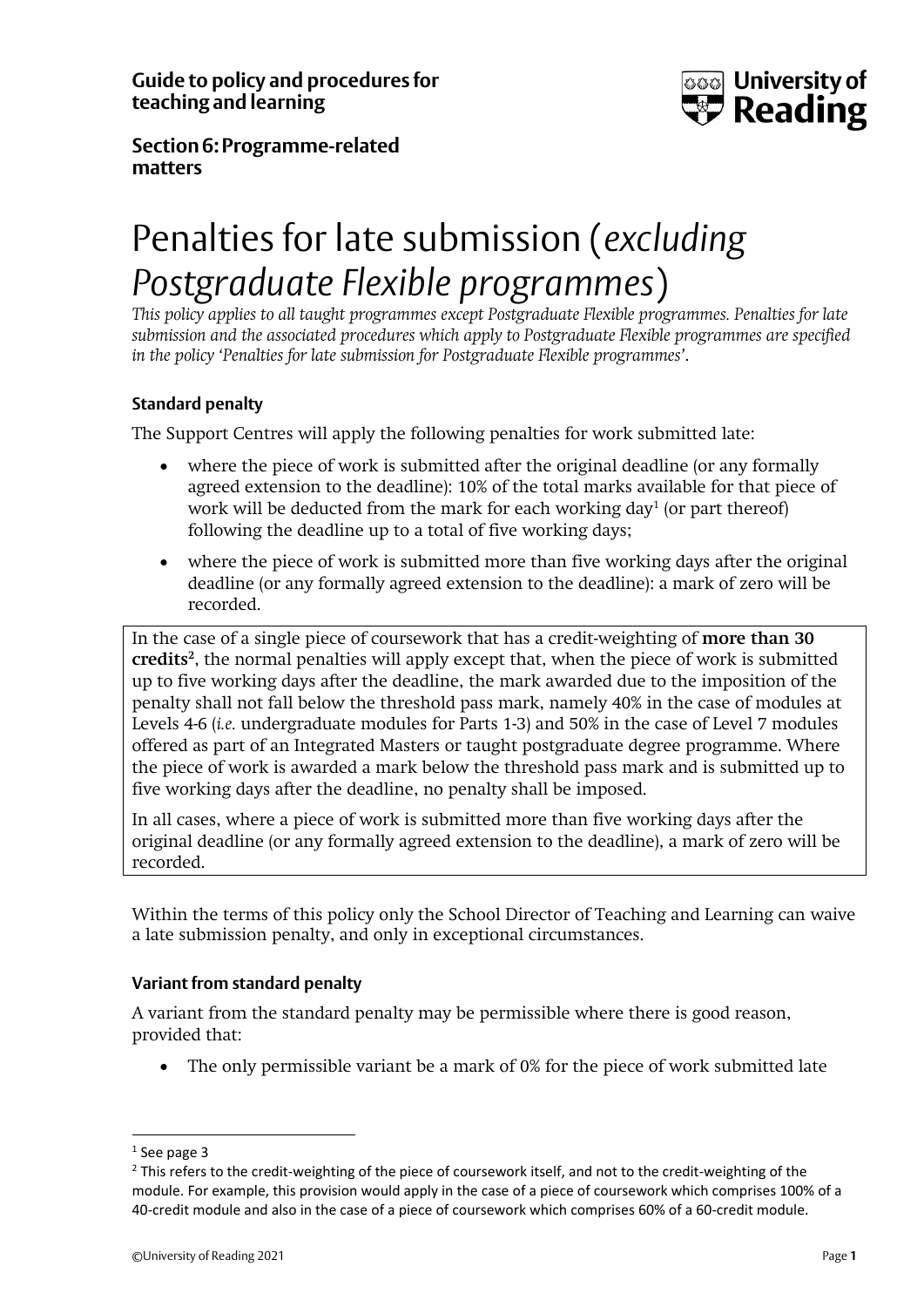**Guide to policy and procedures for teaching and learning**



**Section6:Programme-related matters**

# Penalties for late submission (*excluding Postgraduate Flexible programmes*)

*This policy applies to all taught programmes except Postgraduate Flexible programmes. Penalties for late submission and the associated procedures which apply to Postgraduate Flexible programmes are specified in the policy 'Penalties for late submission for Postgraduate Flexible programmes'*.

### **Standard penalty**

The Support Centres will apply the following penalties for work submitted late:

- where the piece of work is submitted after the original deadline (or any formally agreed extension to the deadline): 10% of the total marks available for that piece of work will be deducted from the mark for each working day<sup>1</sup> (or part thereof) following the deadline up to a total of five working days;
- where the piece of work is submitted more than five working days after the original deadline (or any formally agreed extension to the deadline): a mark of zero will be recorded.

In the case of a single piece of coursework that has a credit-weighting of **more than 30 credits<sup>2</sup>** , the normal penalties will apply except that, when the piece of work is submitted up to five working days after the deadline, the mark awarded due to the imposition of the penalty shall not fall below the threshold pass mark, namely 40% in the case of modules at Levels 4-6 (*i.e.* undergraduate modules for Parts 1-3) and 50% in the case of Level 7 modules offered as part of an Integrated Masters or taught postgraduate degree programme. Where the piece of work is awarded a mark below the threshold pass mark and is submitted up to five working days after the deadline, no penalty shall be imposed.

In all cases, where a piece of work is submitted more than five working days after the original deadline (or any formally agreed extension to the deadline), a mark of zero will be recorded.

Within the terms of this policy only the School Director of Teaching and Learning can waive a late submission penalty, and only in exceptional circumstances.

#### **Variant from standard penalty**

A variant from the standard penalty may be permissible where there is good reason, provided that:

• The only permissible variant be a mark of 0% for the piece of work submitted late

<sup>&</sup>lt;sup>1</sup> See page 3

 $<sup>2</sup>$  This refers to the credit-weighting of the piece of coursework itself, and not to the credit-weighting of the</sup> module. For example, this provision would apply in the case of a piece of coursework which comprises 100% of a 40-credit module and also in the case of a piece of coursework which comprises 60% of a 60-credit module.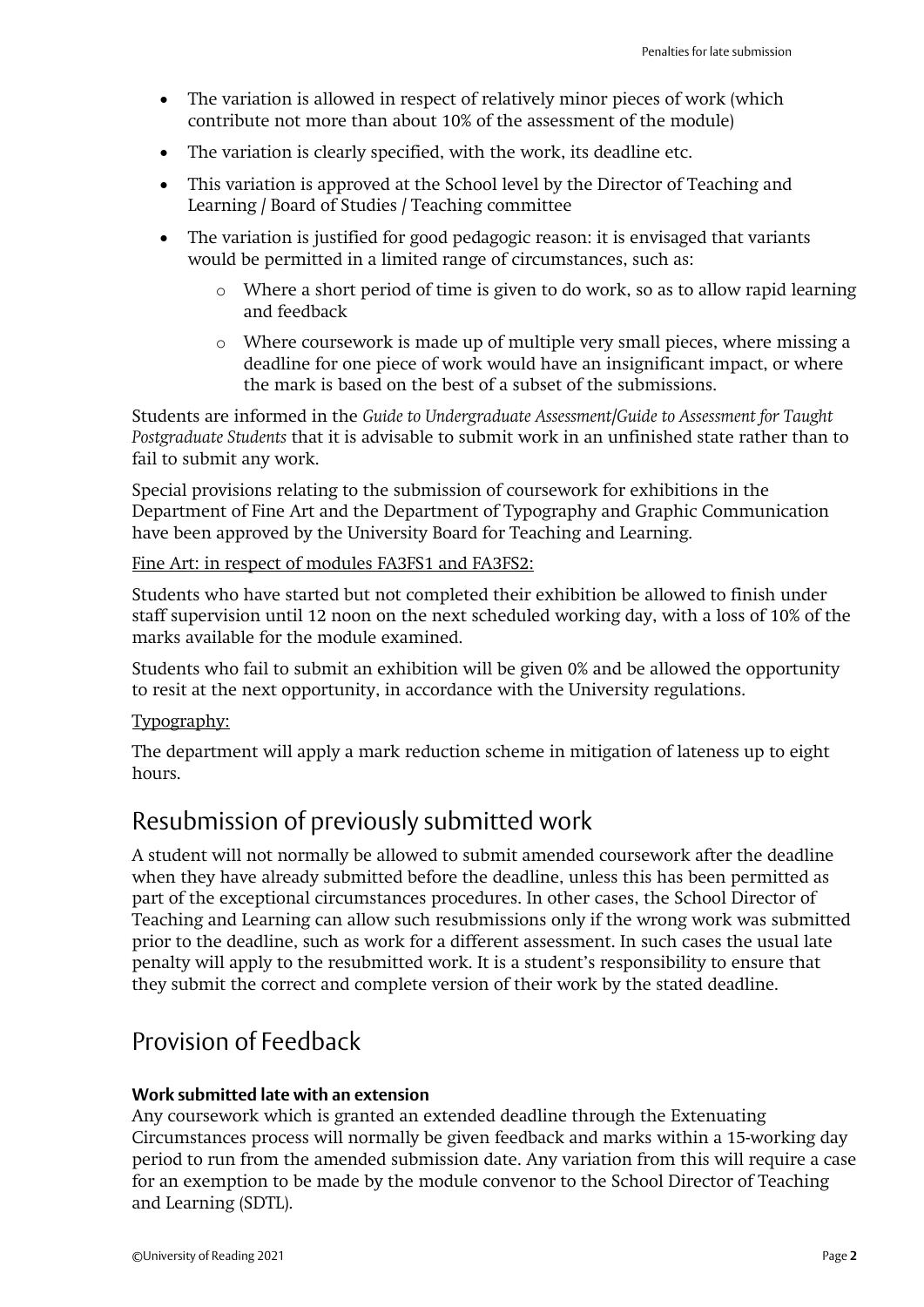- The variation is allowed in respect of relatively minor pieces of work (which contribute not more than about 10% of the assessment of the module)
- The variation is clearly specified, with the work, its deadline etc.
- This variation is approved at the School level by the Director of Teaching and Learning / Board of Studies / Teaching committee
- The variation is justified for good pedagogic reason: it is envisaged that variants would be permitted in a limited range of circumstances, such as:
	- o Where a short period of time is given to do work, so as to allow rapid learning and feedback
	- o Where coursework is made up of multiple very small pieces, where missing a deadline for one piece of work would have an insignificant impact, or where the mark is based on the best of a subset of the submissions.

Students are informed in the *Guide to Undergraduate Assessment/Guide to Assessment for Taught Postgraduate Students* that it is advisable to submit work in an unfinished state rather than to fail to submit any work.

Special provisions relating to the submission of coursework for exhibitions in the Department of Fine Art and the Department of Typography and Graphic Communication have been approved by the University Board for Teaching and Learning.

### Fine Art: in respect of modules FA3FS1 and FA3FS2:

Students who have started but not completed their exhibition be allowed to finish under staff supervision until 12 noon on the next scheduled working day, with a loss of 10% of the marks available for the module examined.

Students who fail to submit an exhibition will be given 0% and be allowed the opportunity to resit at the next opportunity, in accordance with the University regulations.

### Typography:

The department will apply a mark reduction scheme in mitigation of lateness up to eight hours.

### Resubmission of previously submitted work

A student will not normally be allowed to submit amended coursework after the deadline when they have already submitted before the deadline, unless this has been permitted as part of the exceptional circumstances procedures. In other cases, the School Director of Teaching and Learning can allow such resubmissions only if the wrong work was submitted prior to the deadline, such as work for a different assessment. In such cases the usual late penalty will apply to the resubmitted work. It is a student's responsibility to ensure that they submit the correct and complete version of their work by the stated deadline.

## Provision of Feedback

#### **Work submitted late with an extension**

Any coursework which is granted an extended deadline through the Extenuating Circumstances process will normally be given feedback and marks within a 15-working day period to run from the amended submission date. Any variation from this will require a case for an exemption to be made by the module convenor to the School Director of Teaching and Learning (SDTL).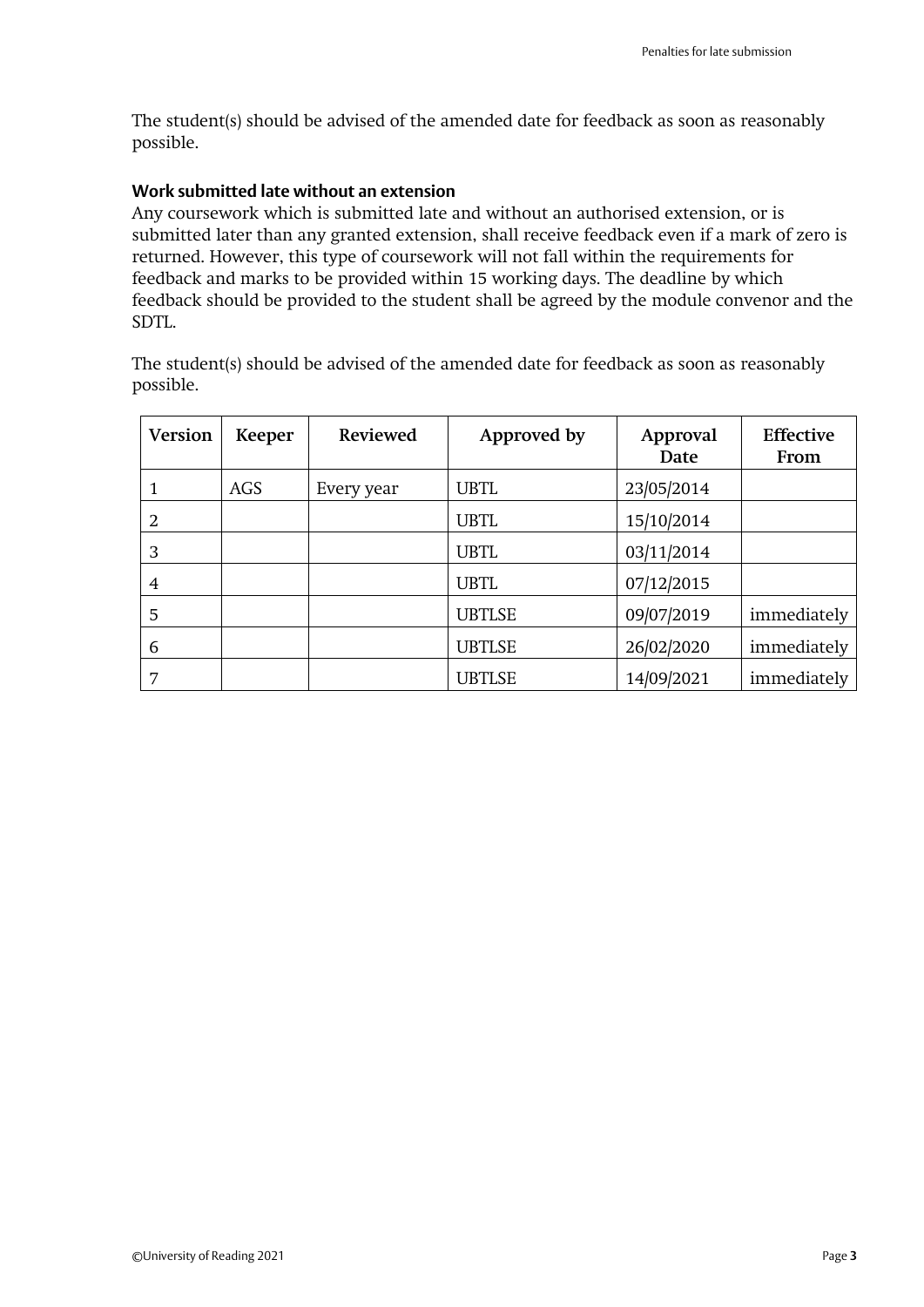The student(s) should be advised of the amended date for feedback as soon as reasonably possible.

### **Work submitted late without an extension**

Any coursework which is submitted late and without an authorised extension, or is submitted later than any granted extension, shall receive feedback even if a mark of zero is returned. However, this type of coursework will not fall within the requirements for feedback and marks to be provided within 15 working days. The deadline by which feedback should be provided to the student shall be agreed by the module convenor and the SDTL.

The student(s) should be advised of the amended date for feedback as soon as reasonably possible.

| <b>Version</b> | Keeper | <b>Reviewed</b> | Approved by   | Approval<br>Date | <b>Effective</b><br>From |
|----------------|--------|-----------------|---------------|------------------|--------------------------|
|                | AGS    | Every year      | <b>UBTL</b>   | 23/05/2014       |                          |
| 2              |        |                 | <b>UBTL</b>   | 15/10/2014       |                          |
| 3              |        |                 | <b>UBTL</b>   | 03/11/2014       |                          |
| 4              |        |                 | <b>UBTL</b>   | 07/12/2015       |                          |
| 5              |        |                 | <b>UBTLSE</b> | 09/07/2019       | immediately              |
| 6              |        |                 | <b>UBTLSE</b> | 26/02/2020       | immediately              |
| 7              |        |                 | <b>UBTLSE</b> | 14/09/2021       | immediately              |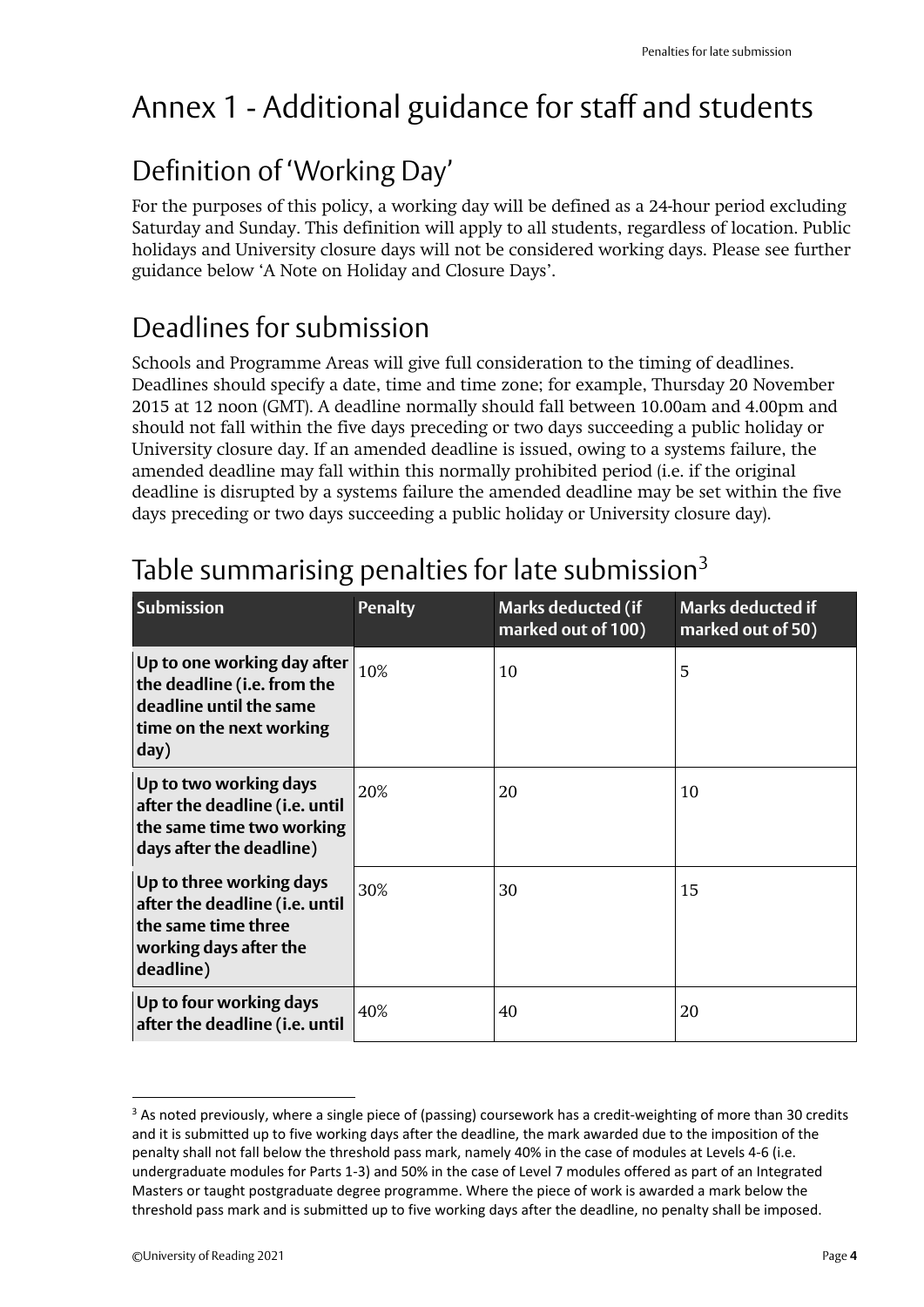# Annex 1 - Additional guidance for staff and students

## Definition of 'Working Day'

For the purposes of this policy, a working day will be defined as a 24-hour period excluding Saturday and Sunday. This definition will apply to all students, regardless of location. Public holidays and University closure days will not be considered working days. Please see further guidance below 'A Note on Holiday and Closure Days'.

## Deadlines for submission

Schools and Programme Areas will give full consideration to the timing of deadlines. Deadlines should specify a date, time and time zone; for example, Thursday 20 November 2015 at 12 noon (GMT). A deadline normally should fall between 10.00am and 4.00pm and should not fall within the five days preceding or two days succeeding a public holiday or University closure day. If an amended deadline is issued, owing to a systems failure, the amended deadline may fall within this normally prohibited period (i.e. if the original deadline is disrupted by a systems failure the amended deadline may be set within the five days preceding or two days succeeding a public holiday or University closure day).

| <b>Submission</b>                                                                                                         | <b>Penalty</b> | <b>Marks deducted (if</b><br>marked out of 100) | <b>Marks deducted if</b><br>marked out of 50) |
|---------------------------------------------------------------------------------------------------------------------------|----------------|-------------------------------------------------|-----------------------------------------------|
| Up to one working day after<br>the deadline (i.e. from the<br>deadline until the same<br>time on the next working<br>day) | 10%            | 10                                              | 5                                             |
| Up to two working days<br>after the deadline (i.e. until<br>the same time two working<br>days after the deadline)         | 20%            | 20                                              | 10                                            |
| Up to three working days<br>after the deadline (i.e. until<br>the same time three<br>working days after the<br>deadline)  | 30%            | 30                                              | 15                                            |
| Up to four working days<br>after the deadline (i.e. until                                                                 | 40%            | 40                                              | 20                                            |

# Table summarising penalties for late submission $3$

 $3$  As noted previously, where a single piece of (passing) coursework has a credit-weighting of more than 30 credits and it is submitted up to five working days after the deadline, the mark awarded due to the imposition of the penalty shall not fall below the threshold pass mark, namely 40% in the case of modules at Levels 4-6 (i.e. undergraduate modules for Parts 1-3) and 50% in the case of Level 7 modules offered as part of an Integrated Masters or taught postgraduate degree programme. Where the piece of work is awarded a mark below the threshold pass mark and is submitted up to five working days after the deadline, no penalty shall be imposed.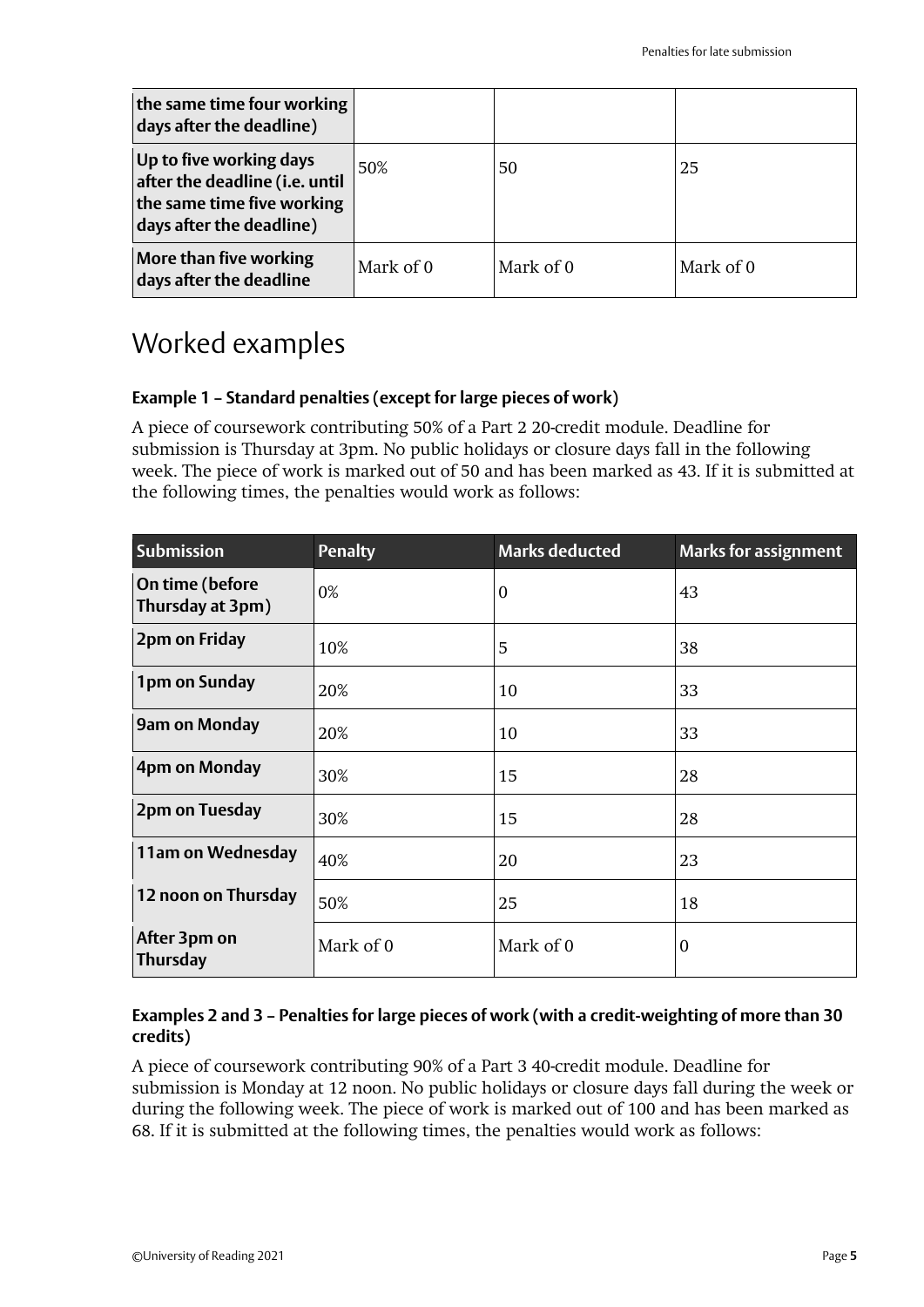| the same time four working<br>days after the deadline)                                                              |           |           |           |
|---------------------------------------------------------------------------------------------------------------------|-----------|-----------|-----------|
| Up to five working days<br>after the deadline (i.e. until<br>the same time five working<br>days after the deadline) | 50%       | 50        | 25        |
| More than five working<br>days after the deadline                                                                   | Mark of 0 | Mark of 0 | Mark of 0 |

## Worked examples

### **Example 1 – Standard penalties (except for large pieces of work)**

A piece of coursework contributing 50% of a Part 2 20-credit module. Deadline for submission is Thursday at 3pm. No public holidays or closure days fall in the following week. The piece of work is marked out of 50 and has been marked as 43. If it is submitted at the following times, the penalties would work as follows:

| <b>Submission</b>                   | <b>Penalty</b> | <b>Marks deducted</b> | <b>Marks for assignment</b> |
|-------------------------------------|----------------|-----------------------|-----------------------------|
| On time (before<br>Thursday at 3pm) | 0%             | $\boldsymbol{0}$      | 43                          |
| 2pm on Friday                       | 10%            | 5                     | 38                          |
| 1pm on Sunday                       | 20%            | 10                    | 33                          |
| <b>9am on Monday</b>                | 20%            | 10                    | 33                          |
| 4pm on Monday                       | 30%            | 15                    | 28                          |
| 2pm on Tuesday                      | 30%            | 15                    | 28                          |
| 11am on Wednesday                   | 40%            | 20                    | 23                          |
| 12 noon on Thursday                 | 50%            | 25                    | 18                          |
| After 3pm on<br><b>Thursday</b>     | Mark of 0      | Mark of 0             | 0                           |

### **Examples 2 and 3 – Penalties for large pieces of work (with a credit-weighting of more than 30 credits)**

A piece of coursework contributing 90% of a Part 3 40-credit module. Deadline for submission is Monday at 12 noon. No public holidays or closure days fall during the week or during the following week. The piece of work is marked out of 100 and has been marked as 68. If it is submitted at the following times, the penalties would work as follows: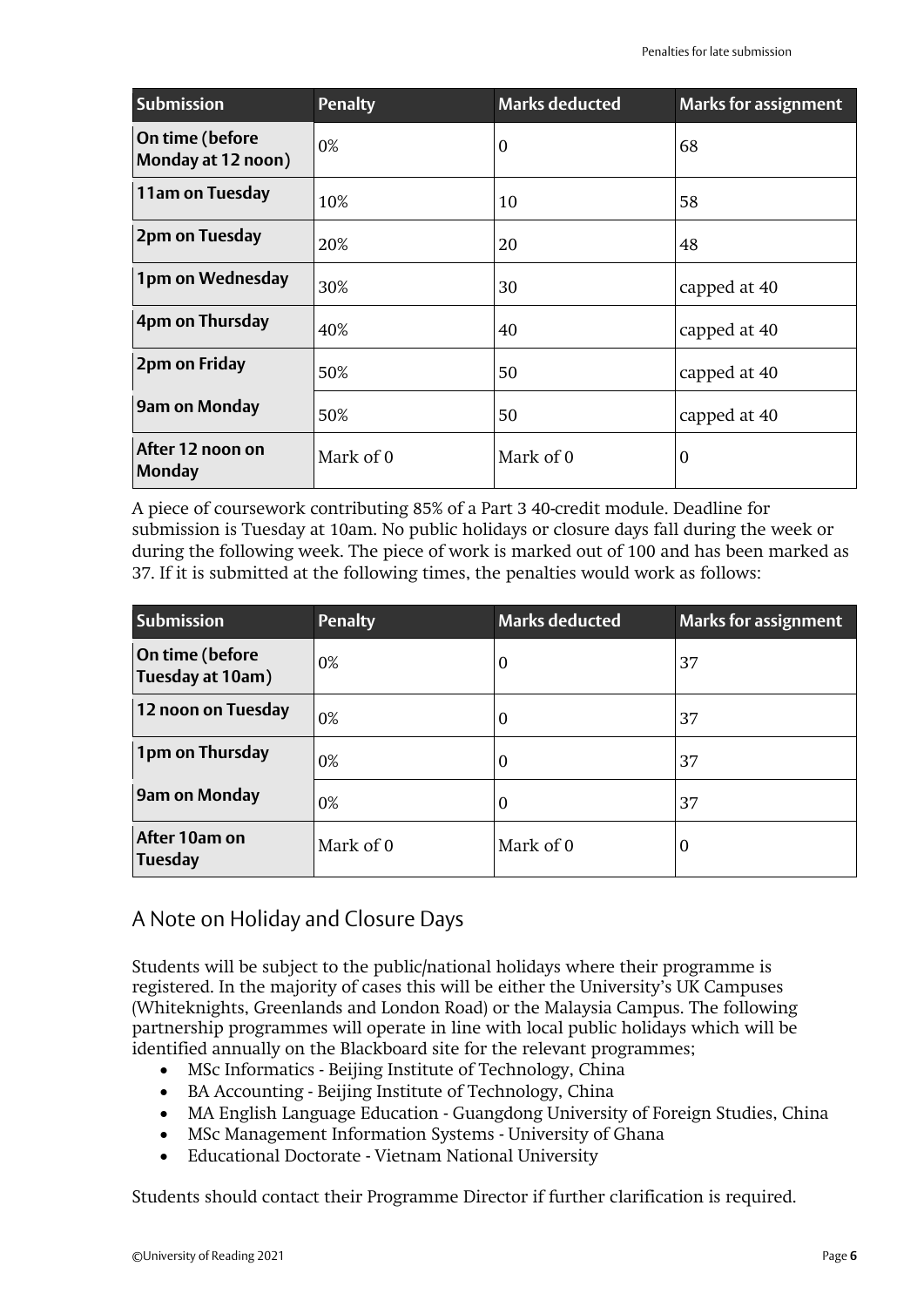| <b>Submission</b>                     | <b>Penalty</b> | <b>Marks deducted</b> | <b>Marks for assignment</b> |
|---------------------------------------|----------------|-----------------------|-----------------------------|
| On time (before<br>Monday at 12 noon) | 0%             | $\boldsymbol{0}$      | 68                          |
| 11am on Tuesday                       | 10%            | 10                    | 58                          |
| 2pm on Tuesday                        | 20%            | 20                    | 48                          |
| 1pm on Wednesday                      | 30%            | 30                    | capped at 40                |
| 4pm on Thursday                       | 40%            | 40                    | capped at 40                |
| 2pm on Friday                         | 50%            | 50                    | capped at 40                |
| <b>9am on Monday</b>                  | 50%            | 50                    | capped at 40                |
| After 12 noon on<br><b>Monday</b>     | Mark of 0      | Mark of 0             | $\boldsymbol{0}$            |

A piece of coursework contributing 85% of a Part 3 40-credit module. Deadline for submission is Tuesday at 10am. No public holidays or closure days fall during the week or during the following week. The piece of work is marked out of 100 and has been marked as 37. If it is submitted at the following times, the penalties would work as follows:

| <b>Submission</b>                   | <b>Penalty</b> | <b>Marks deducted</b> | <b>Marks for assignment</b> |
|-------------------------------------|----------------|-----------------------|-----------------------------|
| On time (before<br>Tuesday at 10am) | 0%             | 0                     | 37                          |
| 12 noon on Tuesday                  | 0%             | U                     | 37                          |
| 1pm on Thursday                     | 0%             | $\theta$              | 37                          |
| <b>9am on Monday</b>                | 0%             | 0                     | 37                          |
| After 10am on<br><b>Tuesday</b>     | Mark of 0      | Mark of 0             | $\boldsymbol{0}$            |

### A Note on Holiday and Closure Days

Students will be subject to the public/national holidays where their programme is registered. In the majority of cases this will be either the University's UK Campuses (Whiteknights, Greenlands and London Road) or the Malaysia Campus. The following partnership programmes will operate in line with local public holidays which will be identified annually on the Blackboard site for the relevant programmes;

- MSc Informatics Beijing Institute of Technology, China
- BA Accounting Beijing Institute of Technology, China
- MA English Language Education Guangdong University of Foreign Studies, China
- MSc Management Information Systems University of Ghana
- Educational Doctorate Vietnam National University

Students should contact their Programme Director if further clarification is required.